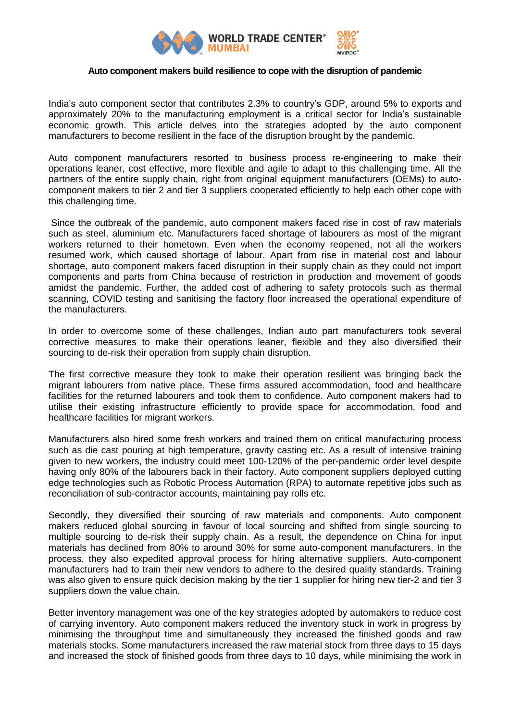

#### **Auto component makers build resilience to cope with the disruption of pandemic**

India's auto component sector that contributes 2.3% to country's GDP, around 5% to exports and approximately 20% to the manufacturing employment is a critical sector for India's sustainable economic growth. This article delves into the strategies adopted by the auto component manufacturers to become resilient in the face of the disruption brought by the pandemic.

Auto component manufacturers resorted to business process re-engineering to make their operations leaner, cost effective, more flexible and agile to adapt to this challenging time. All the partners of the entire supply chain, right from original equipment manufacturers (OEMs) to autocomponent makers to tier 2 and tier 3 suppliers cooperated efficiently to help each other cope with this challenging time.

Since the outbreak of the pandemic, auto component makers faced rise in cost of raw materials such as steel, aluminium etc. Manufacturers faced shortage of labourers as most of the migrant workers returned to their hometown. Even when the economy reopened, not all the workers resumed work, which caused shortage of labour. Apart from rise in material cost and labour shortage, auto component makers faced disruption in their supply chain as they could not import components and parts from China because of restriction in production and movement of goods amidst the pandemic. Further, the added cost of adhering to safety protocols such as thermal scanning, COVID testing and sanitising the factory floor increased the operational expenditure of the manufacturers.

In order to overcome some of these challenges, Indian auto part manufacturers took several corrective measures to make their operations leaner, flexible and they also diversified their sourcing to de-risk their operation from supply chain disruption.

The first corrective measure they took to make their operation resilient was bringing back the migrant labourers from native place. These firms assured accommodation, food and healthcare facilities for the returned labourers and took them to confidence. Auto component makers had to utilise their existing infrastructure efficiently to provide space for accommodation, food and healthcare facilities for migrant workers.

Manufacturers also hired some fresh workers and trained them on critical manufacturing process such as die cast pouring at high temperature, gravity casting etc. As a result of intensive training given to new workers, the industry could meet 100-120% of the per-pandemic order level despite having only 80% of the labourers back in their factory. Auto component suppliers deployed cutting edge technologies such as Robotic Process Automation (RPA) to automate repetitive jobs such as reconciliation of sub-contractor accounts, maintaining pay rolls etc.

Secondly, they diversified their sourcing of raw materials and components. Auto component makers reduced global sourcing in favour of local sourcing and shifted from single sourcing to multiple sourcing to de-risk their supply chain. As a result, the dependence on China for input materials has declined from 80% to around 30% for some auto-component manufacturers. In the process, they also expedited approval process for hiring alternative suppliers. Auto-component manufacturers had to train their new vendors to adhere to the desired quality standards. Training was also given to ensure quick decision making by the tier 1 supplier for hiring new tier-2 and tier 3 suppliers down the value chain.

Better inventory management was one of the key strategies adopted by automakers to reduce cost of carrying inventory. Auto component makers reduced the inventory stuck in work in progress by minimising the throughput time and simultaneously they increased the finished goods and raw materials stocks. Some manufacturers increased the raw material stock from three days to 15 days and increased the stock of finished goods from three days to 10 days, while minimising the work in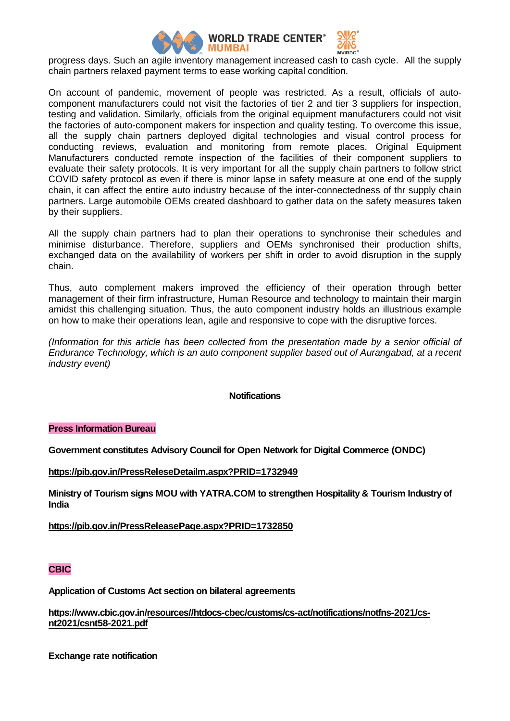

progress days. Such an agile inventory management increased cash to cash cycle. All the supply chain partners relaxed payment terms to ease working capital condition.

On account of pandemic, movement of people was restricted. As a result, officials of autocomponent manufacturers could not visit the factories of tier 2 and tier 3 suppliers for inspection, testing and validation. Similarly, officials from the original equipment manufacturers could not visit the factories of auto-component makers for inspection and quality testing. To overcome this issue, all the supply chain partners deployed digital technologies and visual control process for conducting reviews, evaluation and monitoring from remote places. Original Equipment Manufacturers conducted remote inspection of the facilities of their component suppliers to evaluate their safety protocols. It is very important for all the supply chain partners to follow strict COVID safety protocol as even if there is minor lapse in safety measure at one end of the supply chain, it can affect the entire auto industry because of the inter-connectedness of thr supply chain partners. Large automobile OEMs created dashboard to gather data on the safety measures taken by their suppliers.

All the supply chain partners had to plan their operations to synchronise their schedules and minimise disturbance. Therefore, suppliers and OEMs synchronised their production shifts, exchanged data on the availability of workers per shift in order to avoid disruption in the supply chain.

Thus, auto complement makers improved the efficiency of their operation through better management of their firm infrastructure, Human Resource and technology to maintain their margin amidst this challenging situation. Thus, the auto component industry holds an illustrious example on how to make their operations lean, agile and responsive to cope with the disruptive forces.

*(Information for this article has been collected from the presentation made by a senior official of Endurance Technology, which is an auto component supplier based out of Aurangabad, at a recent industry event)*

### **Notifications**

### **Press Information Bureau**

**Government constitutes Advisory Council for Open Network for Digital Commerce (ONDC)**

**<https://pib.gov.in/PressReleseDetailm.aspx?PRID=1732949>**

**Ministry of Tourism signs MOU with YATRA.COM to strengthen Hospitality & Tourism Industry of India**

**<https://pib.gov.in/PressReleasePage.aspx?PRID=1732850>**

## **CBIC**

**Application of Customs Act section on bilateral agreements**

**[https://www.cbic.gov.in/resources//htdocs-cbec/customs/cs-act/notifications/notfns-2021/cs](https://www.cbic.gov.in/resources/htdocs-cbec/customs/cs-act/notifications/notfns-2021/cs-nt2021/csnt58-2021.pdf)[nt2021/csnt58-2021.pdf](https://www.cbic.gov.in/resources/htdocs-cbec/customs/cs-act/notifications/notfns-2021/cs-nt2021/csnt58-2021.pdf)**

**Exchange rate notification**